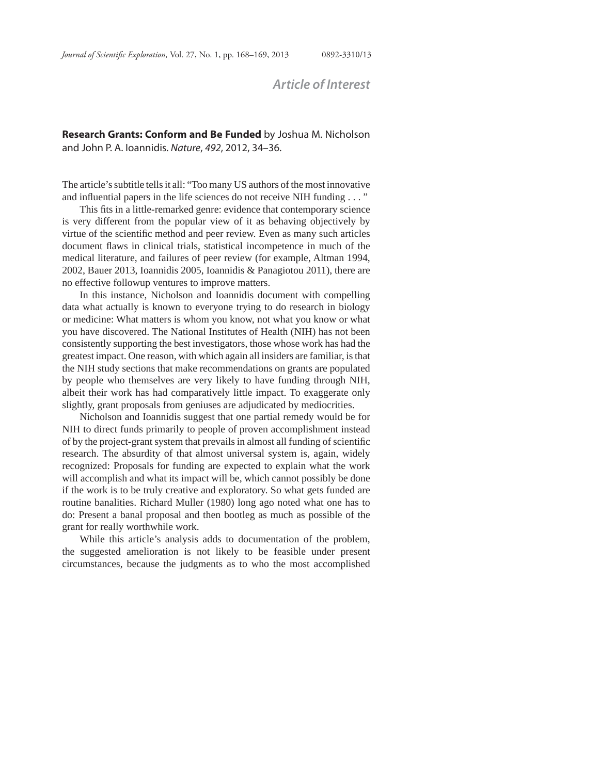## *Article of Interest*

## **Research Grants: Conform and Be Funded** by Joshua M. Nicholson and John P. A. Ioannidis. *Nature*, *492*, 2012, 34–36.

The article's subtitle tells it all: "Too many US authors of the most innovative and influential papers in the life sciences do not receive NIH funding  $\dots$ "

This fits in a little-remarked genre: evidence that contemporary science is very different from the popular view of it as behaving objectively by virtue of the scientific method and peer review. Even as many such articles document flaws in clinical trials, statistical incompetence in much of the medical literature, and failures of peer review (for example, Altman 1994, 2002, Bauer 2013, Ioannidis 2005, Ioannidis & Panagiotou 2011), there are no effective followup ventures to improve matters.

In this instance, Nicholson and Ioannidis document with compelling data what actually is known to everyone trying to do research in biology or medicine: What matters is whom you know, not what you know or what you have discovered. The National Institutes of Health (NIH) has not been consistently supporting the best investigators, those whose work has had the greatest impact. One reason, with which again all insiders are familiar, is that the NIH study sections that make recommendations on grants are populated by people who themselves are very likely to have funding through NIH, albeit their work has had comparatively little impact. To exaggerate only slightly, grant proposals from geniuses are adjudicated by mediocrities.

Nicholson and Ioannidis suggest that one partial remedy would be for NIH to direct funds primarily to people of proven accomplishment instead of by the project-grant system that prevails in almost all funding of scientific research. The absurdity of that almost universal system is, again, widely recognized: Proposals for funding are expected to explain what the work will accomplish and what its impact will be, which cannot possibly be done if the work is to be truly creative and exploratory. So what gets funded are routine banalities. Richard Muller (1980) long ago noted what one has to do: Present a banal proposal and then bootleg as much as possible of the grant for really worthwhile work.

While this article's analysis adds to documentation of the problem, the suggested amelioration is not likely to be feasible under present circumstances, because the judgments as to who the most accomplished